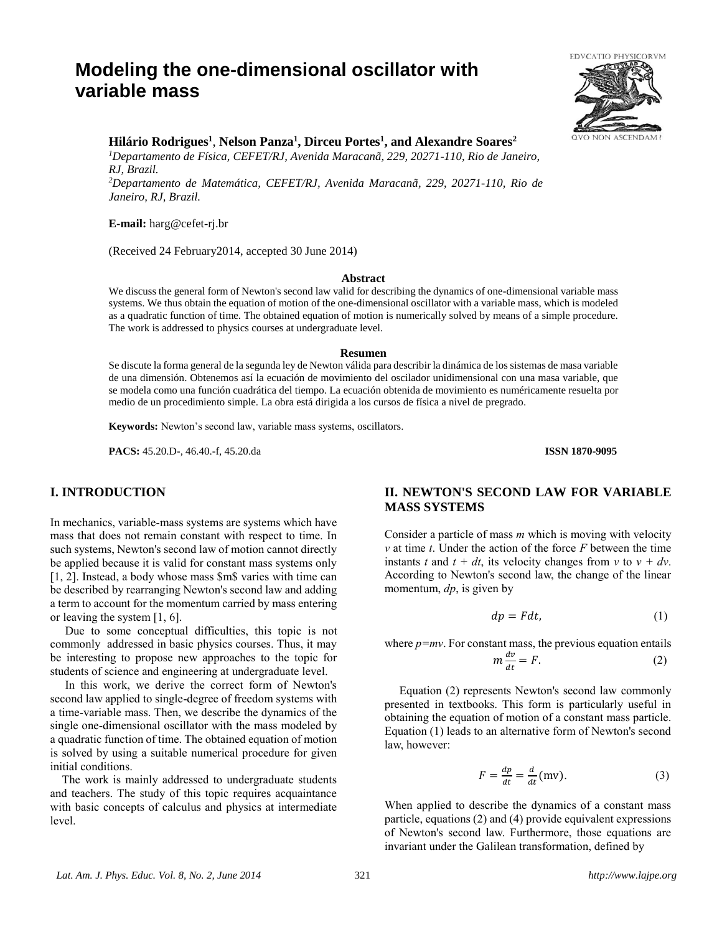# **Modeling the one-dimensional oscillator with variable mass**



*<sup>1</sup>Departamento de Física, CEFET/RJ, Avenida Maracanã, 229, 20271-110, Rio de Janeiro, RJ, Brazil.*

*<sup>2</sup>Departamento de Matemática, CEFET/RJ, Avenida Maracanã, 229, 20271-110, Rio de Janeiro, RJ, Brazil.*

**E-mail:** harg@cefet-rj.br

(Received 24 February2014, accepted 30 June 2014)

#### **Abstract**

We discuss the general form of Newton's second law valid for describing the dynamics of one-dimensional variable mass systems. We thus obtain the equation of motion of the one-dimensional oscillator with a variable mass, which is modeled as a quadratic function of time. The obtained equation of motion is numerically solved by means of a simple procedure. The work is addressed to physics courses at undergraduate level.

#### **Resumen**

Se discute la forma general de la segunda ley de Newton válida para describir la dinámica de los sistemas de masa variable de una dimensión. Obtenemos así la ecuación de movimiento del oscilador unidimensional con una masa variable, que se modela como una función cuadrática del tiempo. La ecuación obtenida de movimiento es numéricamente resuelta por medio de un procedimiento simple. La obra está dirigida a los cursos de física a nivel de pregrado.

**Keywords:** Newton's second law, variable mass systems, oscillators.

**PACS:** 45.20.D-, 46.40.-f, 45.20.da **ISSN 1870-9095**

#### **I. INTRODUCTION**

In mechanics, variable-mass systems are systems which have mass that does not remain constant with respect to time. In such systems, Newton's second law of motion cannot directly be applied because it is valid for constant mass systems only [1, 2]. Instead, a body whose mass \$m\$ varies with time can be described by rearranging Newton's second law and adding a term to account for the momentum carried by mass entering or leaving the system [1, 6].

 Due to some conceptual difficulties, this topic is not commonly addressed in basic physics courses. Thus, it may be interesting to propose new approaches to the topic for students of science and engineering at undergraduate level.

 In this work, we derive the correct form of Newton's second law applied to single-degree of freedom systems with a time-variable mass. Then, we describe the dynamics of the single one-dimensional oscillator with the mass modeled by a quadratic function of time. The obtained equation of motion is solved by using a suitable numerical procedure for given initial conditions.

 The work is mainly addressed to undergraduate students and teachers. The study of this topic requires acquaintance with basic concepts of calculus and physics at intermediate level.

# **II. NEWTON'S SECOND LAW FOR VARIABLE MASS SYSTEMS**

Consider a particle of mass *m* which is moving with velocity *v* at time *t*. Under the action of the force *F* between the time instants *t* and  $t + dt$ , its velocity changes from *v* to  $v + dv$ . According to Newton's second law, the change of the linear momentum, *dp*, is given by

$$
dp = Fdt, \tag{1}
$$

where  $p=mv$ . For constant mass, the previous equation entails  $m \frac{dv}{dt}$  $\frac{dv}{dt} = F.$  (2)

 Equation (2) represents Newton's second law commonly presented in textbooks. This form is particularly useful in obtaining the equation of motion of a constant mass particle. Equation (1) leads to an alternative form of Newton's second law, however:

$$
F = \frac{dp}{dt} = \frac{d}{dt} \text{ (mv)}.
$$
 (3)

When applied to describe the dynamics of a constant mass particle, equations (2) and (4) provide equivalent expressions of Newton's second law. Furthermore, those equations are invariant under the Galilean transformation, defined by

**ASCENDAM** 

**EDVCATIO PHYSICORVM**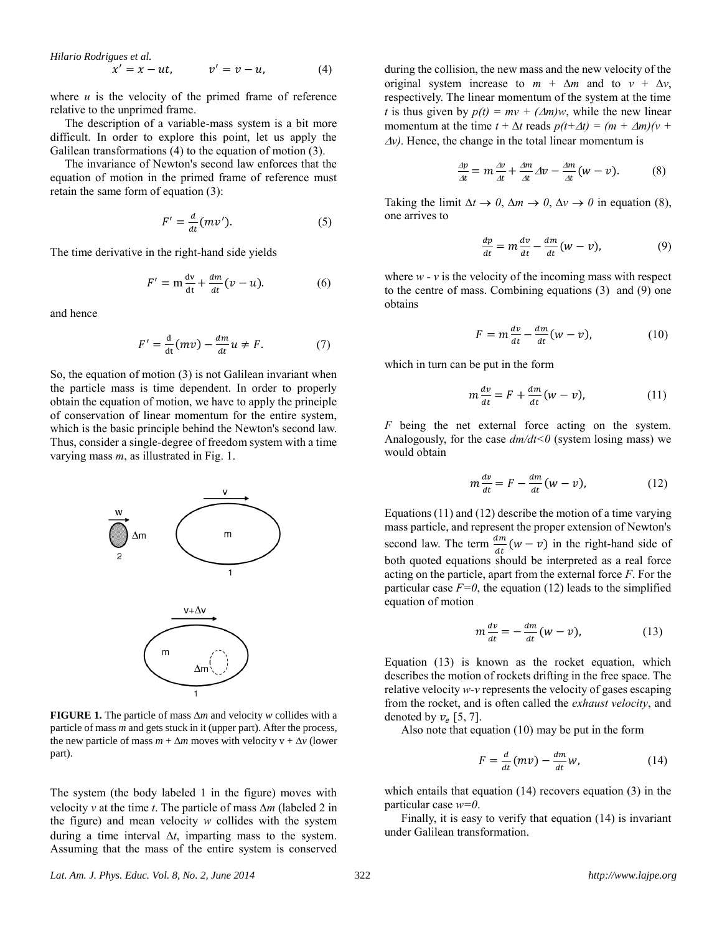*Hilario Rodrigues et al.*

$$
x' = x - ut, \qquad v' = v - u, \tag{4}
$$

where  $u$  is the velocity of the primed frame of reference relative to the unprimed frame.

 The description of a variable-mass system is a bit more difficult. In order to explore this point, let us apply the Galilean transformations (4) to the equation of motion (3).

 The invariance of Newton's second law enforces that the equation of motion in the primed frame of reference must retain the same form of equation (3):

$$
F' = \frac{d}{dt}(mv').
$$
 (5)

The time derivative in the right-hand side yields

$$
F' = \mathbf{m}\frac{\mathrm{d}\mathbf{v}}{\mathrm{d}\mathbf{t}} + \frac{d\mathbf{m}}{dt}(\mathbf{v} - \mathbf{u}).\tag{6}
$$

and hence

$$
F' = \frac{d}{dt}(mv) - \frac{dm}{dt}u \neq F.
$$
 (7)

So, the equation of motion (3) is not Galilean invariant when the particle mass is time dependent. In order to properly obtain the equation of motion, we have to apply the principle of conservation of linear momentum for the entire system, which is the basic principle behind the Newton's second law. Thus, consider a single-degree of freedom system with a time varying mass *m*, as illustrated in Fig. 1.



**FIGURE 1.** The particle of mass  $\Delta m$  and velocity *w* collides with a particle of mass *m* and gets stuck in it (upper part). After the process, the new particle of mass  $m + \Delta m$  moves with velocity  $v + \Delta v$  (lower part).

The system (the body labeled 1 in the figure) moves with velocity *v* at the time *t*. The particle of mass  $\Delta m$  (labeled 2 in the figure) and mean velocity *w* collides with the system during a time interval  $\Delta t$ , imparting mass to the system. Assuming that the mass of the entire system is conserved

during the collision, the new mass and the new velocity of the original system increase to  $m + \Delta m$  and to  $v + \Delta v$ , respectively. The linear momentum of the system at the time *t* is thus given by  $p(t) = mv + (\Delta m)w$ , while the new linear momentum at the time  $t + \Delta t$  reads  $p(t+\Delta t) = (m + \Delta m)(v + \Delta t)$  $\Delta v$ ). Hence, the change in the total linear momentum is

$$
\frac{\Delta p}{\Delta t} = m \frac{\Delta v}{\Delta t} + \frac{\Delta m}{\Delta t} \Delta v - \frac{\Delta m}{\Delta t} (w - v). \tag{8}
$$

Taking the limit  $\Delta t \rightarrow 0$ ,  $\Delta m \rightarrow 0$ ,  $\Delta v \rightarrow 0$  in equation (8), one arrives to

$$
\frac{dp}{dt} = m\frac{dv}{dt} - \frac{dm}{dt}(w - v),\tag{9}
$$

where  $w - v$  is the velocity of the incoming mass with respect to the centre of mass. Combining equations (3) and (9) one obtains

$$
F = m \frac{dv}{dt} - \frac{dm}{dt} (w - v), \qquad (10)
$$

which in turn can be put in the form

$$
m\frac{dv}{dt} = F + \frac{dm}{dt}(w - v),\tag{11}
$$

*F* being the net external force acting on the system. Analogously, for the case *dm/dt<0* (system losing mass) we would obtain

$$
m\frac{dv}{dt} = F - \frac{dm}{dt}(w - v),\tag{12}
$$

Equations (11) and (12) describe the motion of a time varying mass particle, and represent the proper extension of Newton's second law. The term  $\frac{dm}{dt}(w-v)$  in the right-hand side of both quoted equations should be interpreted as a real force acting on the particle, apart from the external force *F*. For the particular case  $F=0$ , the equation (12) leads to the simplified equation of motion

$$
m\frac{dv}{dt} = -\frac{dm}{dt}(w - v),\tag{13}
$$

Equation (13) is known as the rocket equation, which describes the motion of rockets drifting in the free space. The relative velocity *w-v* represents the velocity of gases escaping from the rocket, and is often called the *exhaust velocity*, and denoted by  $v_e$  [5, 7].

Also note that equation (10) may be put in the form

$$
F = \frac{d}{dt}(mv) - \frac{dm}{dt}w,
$$
\n(14)

which entails that equation (14) recovers equation (3) in the particular case *w=0*.

Finally, it is easy to verify that equation (14) is invariant under Galilean transformation.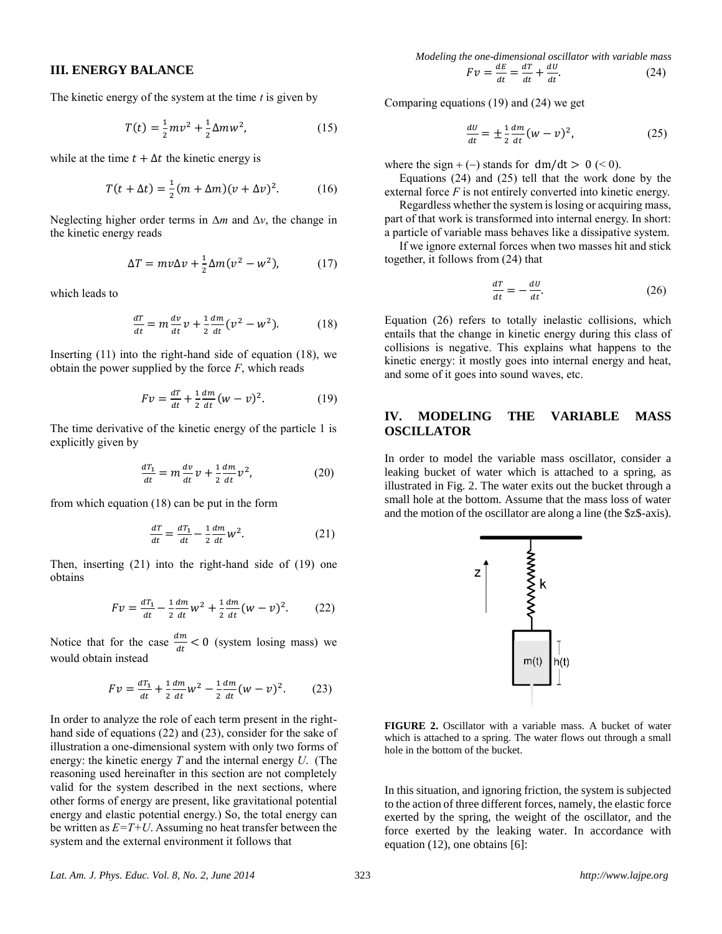#### **III. ENERGY BALANCE**

The kinetic energy of the system at the time *t* is given by

$$
T(t) = \frac{1}{2}mv^2 + \frac{1}{2}\Delta mw^2,
$$
 (15)

while at the time  $t + \Delta t$  the kinetic energy is

$$
T(t + \Delta t) = \frac{1}{2}(m + \Delta m)(v + \Delta v)^2.
$$
 (16)

Neglecting higher order terms in  $\Delta m$  and  $\Delta v$ , the change in the kinetic energy reads

$$
\Delta T = mv\Delta v + \frac{1}{2}\Delta m(v^2 - w^2),\tag{17}
$$

which leads to

$$
\frac{dT}{dt} = m \frac{dv}{dt} v + \frac{1}{2} \frac{dm}{dt} (v^2 - w^2).
$$
 (18)

Inserting  $(11)$  into the right-hand side of equation  $(18)$ , we obtain the power supplied by the force *F*, which reads

$$
Fv = \frac{dT}{dt} + \frac{1}{2} \frac{dm}{dt} (w - v)^2.
$$
 (19)

The time derivative of the kinetic energy of the particle 1 is explicitly given by

$$
\frac{dT_1}{dt} = m\frac{dv}{dt}v + \frac{1}{2}\frac{dm}{dt}v^2,
$$
 (20)

from which equation (18) can be put in the form

$$
\frac{dT}{dt} = \frac{dT_1}{dt} - \frac{1}{2} \frac{dm}{dt} w^2.
$$
 (21)

Then, inserting (21) into the right-hand side of (19) one obtains

$$
Fv = \frac{dT_1}{dt} - \frac{1}{2} \frac{dm}{dt} w^2 + \frac{1}{2} \frac{dm}{dt} (w - v)^2.
$$
 (22)

Notice that for the case  $\frac{dm}{dt} < 0$  (system losing mass) we would obtain instead

$$
Fv = \frac{dT_1}{dt} + \frac{1}{2}\frac{dm}{dt}w^2 - \frac{1}{2}\frac{dm}{dt}(w-v)^2.
$$
 (23)

In order to analyze the role of each term present in the righthand side of equations (22) and (23), consider for the sake of illustration a one-dimensional system with only two forms of energy: the kinetic energy *T* and the internal energy *U*. (The reasoning used hereinafter in this section are not completely valid for the system described in the next sections, where other forms of energy are present, like gravitational potential energy and elastic potential energy.) So, the total energy can be written as  $E = T + U$ . Assuming no heat transfer between the system and the external environment it follows that

*Modeling the one-dimensional oscillator with variable mass*  

$$
Fv = \frac{dE}{dt} = \frac{dT}{dt} + \frac{dU}{dt}.
$$
 (24)

Comparing equations (19) and (24) we get

$$
\frac{dU}{dt} = \pm \frac{1}{2} \frac{dm}{dt} (w - v)^2, \qquad (25)
$$

where the sign  $+ (-)$  stands for dm/dt  $> 0$  (< 0).

 Equations (24) and (25) tell that the work done by the external force *F* is not entirely converted into kinetic energy.

 Regardless whether the system is losing or acquiring mass, part of that work is transformed into internal energy. In short: a particle of variable mass behaves like a dissipative system.

 If we ignore external forces when two masses hit and stick together, it follows from (24) that

$$
\frac{dT}{dt} = -\frac{dU}{dt}.\tag{26}
$$

Equation (26) refers to totally inelastic collisions, which entails that the change in kinetic energy during this class of collisions is negative. This explains what happens to the kinetic energy: it mostly goes into internal energy and heat, and some of it goes into sound waves, etc.

## **IV. MODELING THE VARIABLE MASS OSCILLATOR**

In order to model the variable mass oscillator, consider a leaking bucket of water which is attached to a spring, as illustrated in Fig. 2. The water exits out the bucket through a small hole at the bottom. Assume that the mass loss of water and the motion of the oscillator are along a line (the \$z\$-axis).



 $\mathsf{z}$ 

**FIGURE 2.** Oscillator with a variable mass. A bucket of water which is attached to a spring. The water flows out through a small hole in the bottom of the bucket.

In this situation, and ignoring friction, the system is subjected to the action of three different forces, namely, the elastic force exerted by the spring, the weight of the oscillator, and the force exerted by the leaking water. In accordance with equation (12), one obtains [6]: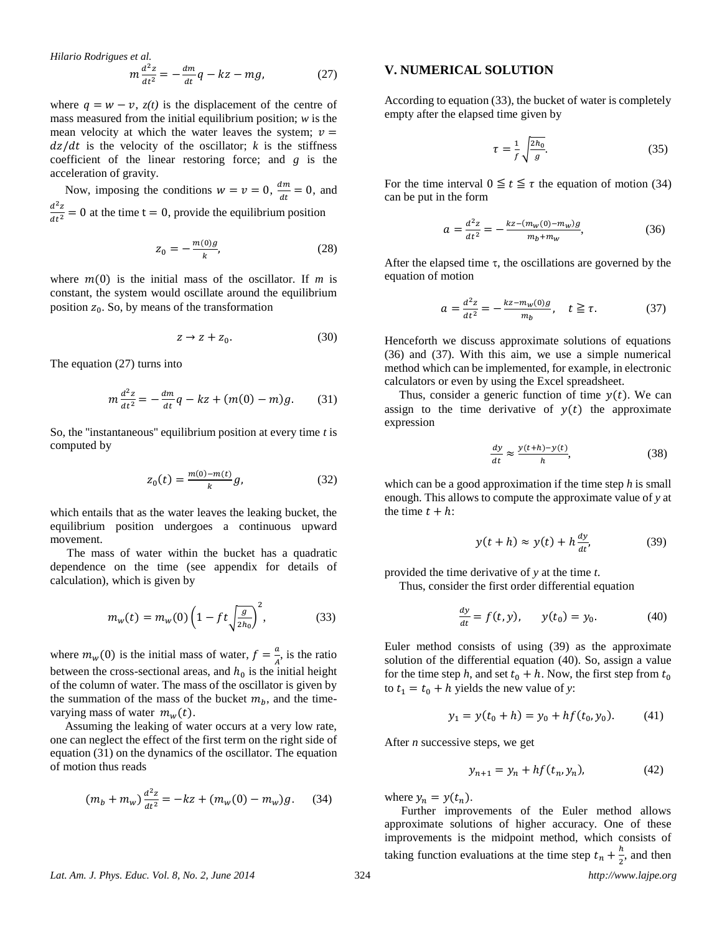Hilario Rodrigues et al.  
\n
$$
m \frac{d^2 z}{dt^2} = -\frac{dm}{dt}q - kz - mg,
$$
\n(27)

where  $q = w - v$ ,  $z(t)$  is the displacement of the centre of mass measured from the initial equilibrium position; *w* is the mean velocity at which the water leaves the system;  $v =$  $dz/dt$  is the velocity of the oscillator;  $k$  is the stiffness coefficient of the linear restoring force; and *g* is the acceleration of gravity.

Now, imposing the conditions  $w = v = 0$ ,  $\frac{dm}{dt}$  $\frac{dm}{dt} = 0$ , and  $d^2z$  $\frac{d^2 z}{dt^2} = 0$  at the time t = 0, provide the equilibrium position

$$
z_0 = -\frac{m(0)g}{k},\tag{28}
$$

where  $m(0)$  is the initial mass of the oscillator. If *m* is constant, the system would oscillate around the equilibrium position  $z_0$ . So, by means of the transformation

$$
z \to z + z_0. \tag{30}
$$

The equation (27) turns into

$$
m\frac{d^2z}{dt^2} = -\frac{dm}{dt}q - kz + (m(0) - m)g.
$$
 (31)

So, the ''instantaneous'' equilibrium position at every time *t* is computed by

$$
z_0(t) = \frac{m(0) - m(t)}{k}g,\tag{32}
$$

which entails that as the water leaves the leaking bucket, the equilibrium position undergoes a continuous upward movement.

The mass of water within the bucket has a quadratic dependence on the time (see appendix for details of calculation), which is given by

$$
m_w(t) = m_w(0) \left( 1 - ft \sqrt{\frac{g}{2h_0}} \right)^2, \tag{33}
$$

where  $m_w(0)$  is the initial mass of water,  $f = \frac{a}{4}$  $\frac{a}{A}$ , is the ratio between the cross-sectional areas, and  $h_0$  is the initial height of the column of water. The mass of the oscillator is given by the summation of the mass of the bucket  $m_b$ , and the timevarying mass of water  $m_w(t)$ .

 Assuming the leaking of water occurs at a very low rate, one can neglect the effect of the first term on the right side of equation (31) on the dynamics of the oscillator. The equation of motion thus reads

$$
(m_b + m_w) \frac{d^2 z}{dt^2} = -kz + (m_w(0) - m_w)g. \tag{34}
$$

#### **V. NUMERICAL SOLUTION**

According to equation (33), the bucket of water is completely empty after the elapsed time given by

$$
\tau = \frac{1}{f} \sqrt{\frac{2h_0}{g}}.\tag{35}
$$

For the time interval  $0 \le t \le \tau$  the equation of motion (34) can be put in the form

$$
a = \frac{d^2 z}{dt^2} = -\frac{kz - (m_w(0) - m_w)g}{m_b + m_w},
$$
(36)

After the elapsed time  $\tau$ , the oscillations are governed by the equation of motion

$$
a = \frac{d^2 z}{dt^2} = -\frac{kz - m_w(0)g}{m_b}, \quad t \ge \tau.
$$
 (37)

Henceforth we discuss approximate solutions of equations (36) and (37). With this aim, we use a simple numerical method which can be implemented, for example, in electronic calculators or even by using the Excel spreadsheet.

Thus, consider a generic function of time  $y(t)$ . We can assign to the time derivative of  $y(t)$  the approximate expression

$$
\frac{dy}{dt} \approx \frac{y(t+h) - y(t)}{h},\tag{38}
$$

which can be a good approximation if the time step *h* is small enough. This allows to compute the approximate value of *y* at the time  $t + h$ :

$$
y(t+h) \approx y(t) + h \frac{dy}{dt}, \tag{39}
$$

provided the time derivative of *y* at the time *t*.

Thus, consider the first order differential equation

$$
\frac{dy}{dt} = f(t, y), \qquad y(t_0) = y_0.
$$
 (40)

Euler method consists of using (39) as the approximate solution of the differential equation (40). So, assign a value for the time step h, and set  $t_0 + h$ . Now, the first step from  $t_0$ to  $t_1 = t_0 + h$  yields the new value of *y*:

$$
y_1 = y(t_0 + h) = y_0 + h f(t_0, y_0).
$$
 (41)

After *n* successive steps, we get

$$
y_{n+1} = y_n + h f(t_n, y_n),
$$
 (42)

where  $y_n = y(t_n)$ .

Further improvements of the Euler method allows approximate solutions of higher accuracy. One of these improvements is the midpoint method, which consists of taking function evaluations at the time step  $t_n + \frac{h}{2}$  $\frac{n}{2}$ , and then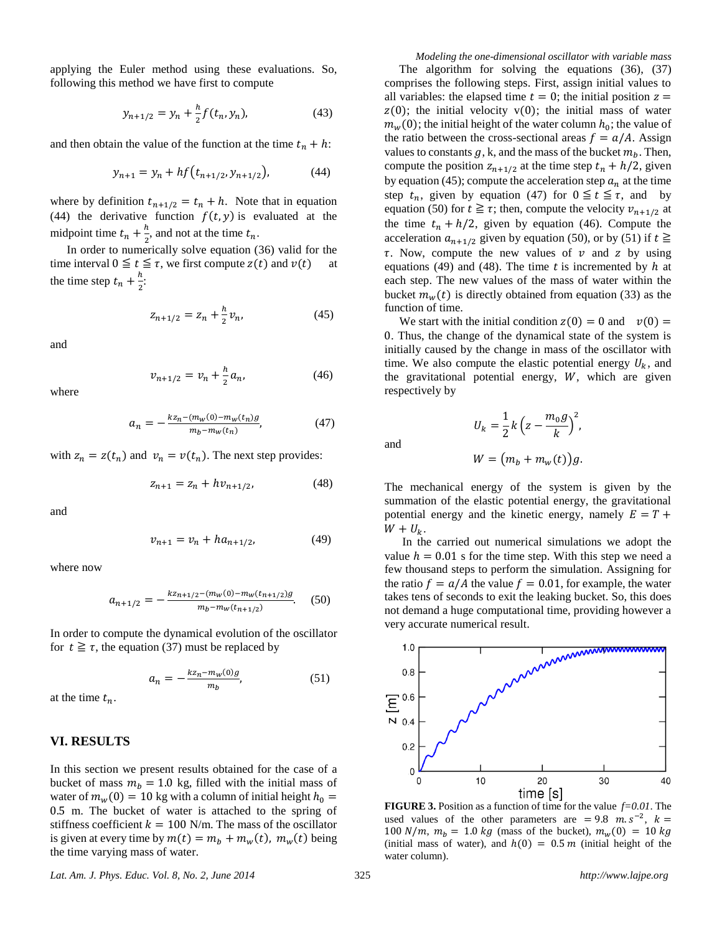applying the Euler method using these evaluations. So, following this method we have first to compute

$$
y_{n+1/2} = y_n + \frac{h}{2} f(t_n, y_n),
$$
 (43)

and then obtain the value of the function at the time  $t_n + h$ :

$$
y_{n+1} = y_n + h f(t_{n+1/2}, y_{n+1/2}), \tag{44}
$$

where by definition  $t_{n+1/2} = t_n + h$ . Note that in equation (44) the derivative function  $f(t, y)$  is evaluated at the midpoint time  $t_n + \frac{h}{2}$  $\frac{n}{2}$ , and not at the time  $t_n$ .

In order to numerically solve equation (36) valid for the time interval  $0 \le t \le \tau$ , we first compute  $z(t)$  and  $v(t)$ the time step  $t_n + \frac{h}{2}$  $\frac{1}{2}$ :

$$
z_{n+1/2} = z_n + \frac{h}{2} v_n, \tag{45}
$$

and

$$
v_{n+1/2} = v_n + \frac{h}{2} a_n, \tag{46}
$$

where

$$
a_n = -\frac{kz_n - (m_w(0) - m_w(t_n))g}{m_b - m_w(t_n)},\tag{47}
$$

with  $z_n = z(t_n)$  and  $v_n = v(t_n)$ . The next step provides:

$$
z_{n+1} = z_n + hv_{n+1/2}, \tag{48}
$$

and

$$
v_{n+1} = v_n + h a_{n+1/2}, \tag{49}
$$

where now

$$
a_{n+1/2} = -\frac{kz_{n+1/2} - (m_w(0) - m_w(t_{n+1/2})g}{m_b - m_w(t_{n+1/2})}.
$$
 (50)

In order to compute the dynamical evolution of the oscillator for  $t \geq \tau$ , the equation (37) must be replaced by

$$
a_n = -\frac{kz_n - m_w(0)g}{m_b},\tag{51}
$$

at the time  $t_n$ .

### **VI. RESULTS**

In this section we present results obtained for the case of a bucket of mass  $m_b = 1.0$  kg, filled with the initial mass of water of  $m_w(0) = 10$  kg with a column of initial height  $h_0 =$ 0.5 m. The bucket of water is attached to the spring of stiffness coefficient  $k = 100$  N/m. The mass of the oscillator is given at every time by  $m(t) = m_b + m_w(t)$ ,  $m_w(t)$  being the time varying mass of water.

*Modeling the one-dimensional oscillator with variable mass* The algorithm for solving the equations (36), (37) comprises the following steps. First, assign initial values to all variables: the elapsed time  $t = 0$ ; the initial position  $z =$  $z(0)$ ; the initial velocity  $v(0)$ ; the initial mass of water  $m_w(0)$ ; the initial height of the water column  $h_0$ ; the value of the ratio between the cross-sectional areas  $f = a/A$ . Assign values to constants  $q$ , k, and the mass of the bucket  $m_h$ . Then, compute the position  $z_{n+1/2}$  at the time step  $t_n + h/2$ , given by equation (45); compute the acceleration step  $a_n$  at the time step  $t_n$ , given by equation (47) for  $0 \le t \le \tau$ , and by equation (50) for  $t \geq \tau$ ; then, compute the velocity  $v_{n+1/2}$  at the time  $t_n + h/2$ , given by equation (46). Compute the acceleration  $a_{n+1/2}$  given by equation (50), or by (51) if  $t \ge$  $\tau$ . Now, compute the new values of  $\nu$  and  $z$  by using equations (49) and (48). The time t is incremented by  $h$  at each step. The new values of the mass of water within the bucket  $m_w(t)$  is directly obtained from equation (33) as the function of time.

We start with the initial condition  $z(0) = 0$  and  $v(0) = 0$ 0. Thus, the change of the dynamical state of the system is initially caused by the change in mass of the oscillator with time. We also compute the elastic potential energy  $U_k$ , and the gravitational potential energy,  $W$ , which are given respectively by

$$
U_k = \frac{1}{2}k\left(z - \frac{m_0 g}{k}\right)^2,
$$

 $W = (m_h + m_m(t))a$ 

The mechanical energy of the system is given by the

summation of the elastic potential energy, the gravitational potential energy and the kinetic energy, namely  $E = T +$  $W + U_k$ .

 In the carried out numerical simulations we adopt the value  $h = 0.01$  s for the time step. With this step we need a few thousand steps to perform the simulation. Assigning for the ratio  $f = a/A$  the value  $f = 0.01$ , for example, the water takes tens of seconds to exit the leaking bucket. So, this does not demand a huge computational time, providing however a very accurate numerical result.



**FIGURE 3.** Position as a function of time for the value *f=0.01*. The used values of the other parameters are = 9.8  $m.s^{-2}$ ,  $k =$ 100  $N/m$ ,  $m_b = 1.0 \text{ kg}$  (mass of the bucket),  $m_w(0) = 10 \text{ kg}$ (initial mass of water), and  $h(0) = 0.5 m$  (initial height of the water column).

*Lat. Am. J. Phys. Educ. Vol. 8, No. 2, June 2014* 325 *http://www.lajpe.org*

and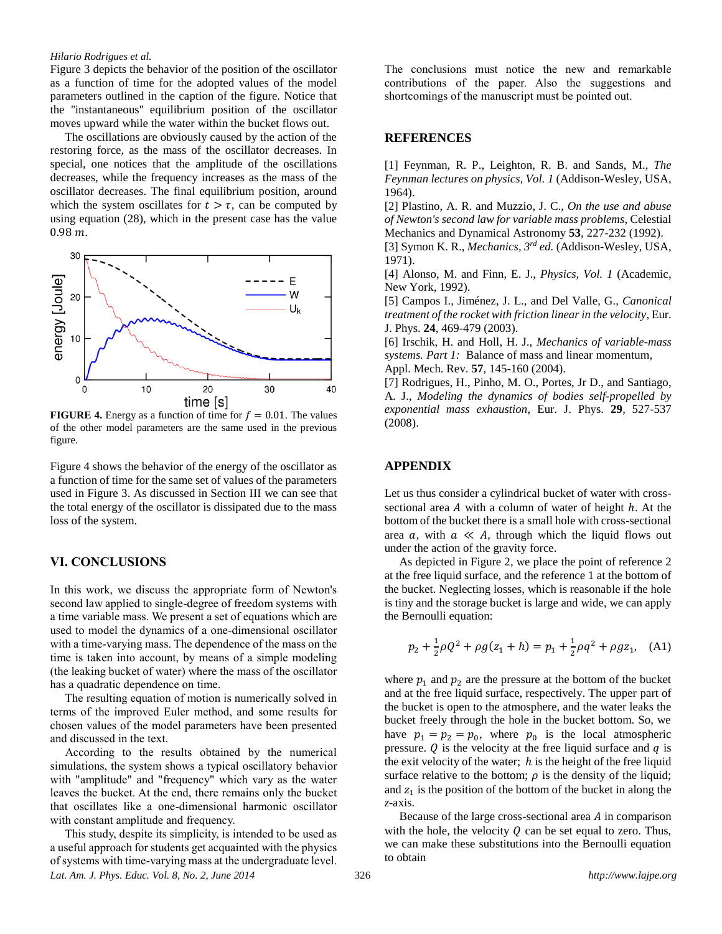#### *Hilario Rodrigues et al.*

Figure 3 depicts the behavior of the position of the oscillator as a function of time for the adopted values of the model parameters outlined in the caption of the figure. Notice that the ''instantaneous'' equilibrium position of the oscillator moves upward while the water within the bucket flows out.

 The oscillations are obviously caused by the action of the restoring force, as the mass of the oscillator decreases. In special, one notices that the amplitude of the oscillations decreases, while the frequency increases as the mass of the oscillator decreases. The final equilibrium position, around which the system oscillates for  $t > \tau$ , can be computed by using equation (28), which in the present case has the value  $0.98 m$ 



**FIGURE 4.** Energy as a function of time for  $f = 0.01$ . The values of the other model parameters are the same used in the previous figure.

Figure 4 shows the behavior of the energy of the oscillator as a function of time for the same set of values of the parameters used in Figure 3. As discussed in Section III we can see that the total energy of the oscillator is dissipated due to the mass loss of the system.

## **VI. CONCLUSIONS**

In this work, we discuss the appropriate form of Newton's second law applied to single-degree of freedom systems with a time variable mass. We present a set of equations which are used to model the dynamics of a one-dimensional oscillator with a time-varying mass. The dependence of the mass on the time is taken into account, by means of a simple modeling (the leaking bucket of water) where the mass of the oscillator has a quadratic dependence on time.

 The resulting equation of motion is numerically solved in terms of the improved Euler method, and some results for chosen values of the model parameters have been presented and discussed in the text.

 According to the results obtained by the numerical simulations, the system shows a typical oscillatory behavior with "amplitude" and "frequency" which vary as the water leaves the bucket. At the end, there remains only the bucket that oscillates like a one-dimensional harmonic oscillator with constant amplitude and frequency.

*Lat. Am. J. Phys. Educ. Vol. 8, No. 2, June 2014* 326 *http://www.lajpe.org* This study, despite its simplicity, is intended to be used as a useful approach for students get acquainted with the physics of systems with time-varying mass at the undergraduate level.

The conclusions must notice the new and remarkable contributions of the paper. Also the suggestions and shortcomings of the manuscript must be pointed out.

#### **REFERENCES**

[1] Feynman, R. P., Leighton, R. B. and Sands, M., *The Feynman lectures on physics, Vol. 1* (Addison-Wesley, USA, 1964).

[2] Plastino, A. R. and Muzzio, J. C., *On the use and abuse of Newton's second law for variable mass problems*, Celestial Mechanics and Dynamical Astronomy **53**, 227-232 (1992).

[3] Symon K. R., *Mechanics, 3 rd ed.* (Addison-Wesley, USA, 1971).

[4] Alonso, M. and Finn, E. J., *Physics, Vol. 1* (Academic, New York, 1992).

[5] Campos I., Jiménez, J. L., and Del Valle, G., *Canonical treatment of the rocket with friction linear in the velocity*, Eur. J. Phys. **24**, 469-479 (2003).

[6] Irschik, H. and Holl, H. J., *Mechanics of variable-mass systems. Part 1:* Balance of mass and linear momentum, Appl. Mech. Rev. **57**, 145-160 (2004).

[7] Rodrigues, H., Pinho, M. O., Portes, Jr D., and Santiago, A. J., *Modeling the dynamics of bodies self-propelled by exponential mass exhaustion*, Eur. J. Phys. **29**, 527-537 (2008).

# **APPENDIX**

Let us thus consider a cylindrical bucket of water with crosssectional area  $A$  with a column of water of height  $h$ . At the bottom of the bucket there is a small hole with cross-sectional area a, with  $a \ll A$ , through which the liquid flows out under the action of the gravity force.

 As depicted in Figure 2, we place the point of reference 2 at the free liquid surface, and the reference 1 at the bottom of the bucket. Neglecting losses, which is reasonable if the hole is tiny and the storage bucket is large and wide, we can apply the Bernoulli equation:

$$
p_2 + \frac{1}{2}\rho Q^2 + \rho g(z_1 + h) = p_1 + \frac{1}{2}\rho q^2 + \rho g z_1, \quad (A1)
$$

where  $p_1$  and  $p_2$  are the pressure at the bottom of the bucket and at the free liquid surface, respectively. The upper part of the bucket is open to the atmosphere, and the water leaks the bucket freely through the hole in the bucket bottom. So, we have  $p_1 = p_2 = p_0$ , where  $p_0$  is the local atmospheric pressure.  $Q$  is the velocity at the free liquid surface and  $q$  is the exit velocity of the water;  $h$  is the height of the free liquid surface relative to the bottom;  $\rho$  is the density of the liquid; and  $z_1$  is the position of the bottom of the bucket in along the *z*-axis.

Because of the large cross-sectional area  $A$  in comparison with the hole, the velocity  $Q$  can be set equal to zero. Thus, we can make these substitutions into the Bernoulli equation to obtain